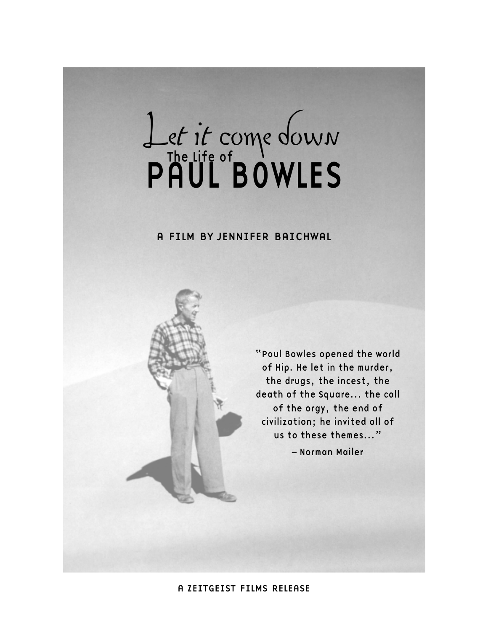# Let it come down PAUL BOWLES

### A FILM BY JENNIFER BAICHWAL

"Paul Bowles opened the world of Hip. He let in the murder, the drugs, the incest, the death of the Square... the call of the orgy, the end of civilization; he invited all of us to these themes..."

– Norman Mailer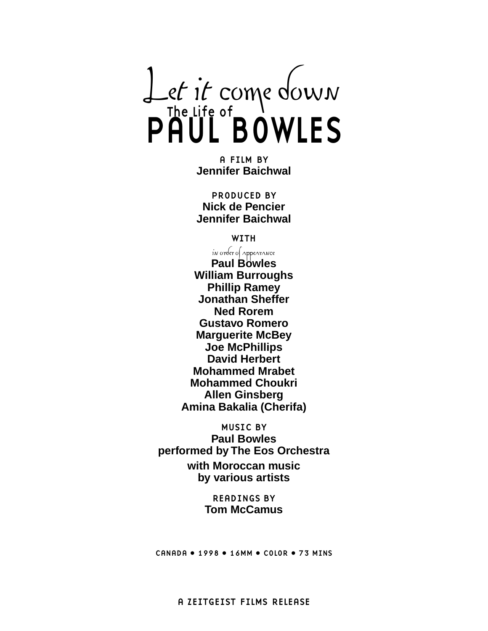# Let it come down PAUL BOWLES

A FILM BY **Jennifer Baichwal**

PRODUCED BY **Nick de Pencier Jennifer Baichwal**

WITH

in order of appearance **Paul Bowles William Burroughs Phillip Ramey Jonathan Sheffer Ned Rorem Gustavo Romero Marguerite McBey Joe McPhillips David Herbert Mohammed Mrabet Mohammed Choukri Allen Ginsberg Amina Bakalia (Cherifa)**

MUSIC BY **Paul Bowles performed by The Eos Orchestra with Moroccan music by various artists**

> READINGS BY **Tom McCamus**

CANADA • 1998 • 16MM • COLOR • 73 MINS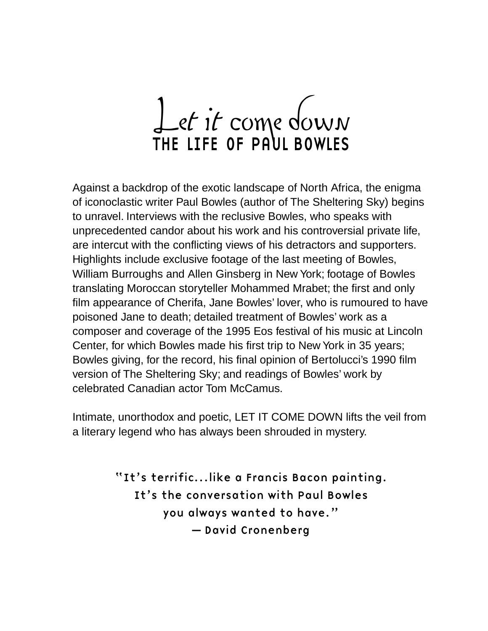Let it come down THE LIFE OF PAUL BOWLES

Against a backdrop of the exotic landscape of North Africa, the enigma of iconoclastic writer Paul Bowles (author of The Sheltering Sky) begins to unravel. Interviews with the reclusive Bowles, who speaks with unprecedented candor about his work and his controversial private life, are intercut with the conflicting views of his detractors and supporters. Highlights include exclusive footage of the last meeting of Bowles, William Burroughs and Allen Ginsberg in New York; footage of Bowles translating Moroccan storyteller Mohammed Mrabet; the first and only film appearance of Cherifa, Jane Bowles' lover, who is rumoured to have poisoned Jane to death; detailed treatment of Bowles' work as a composer and coverage of the 1995 Eos festival of his music at Lincoln Center, for which Bowles made his first trip to New York in 35 years; Bowles giving, for the record, his final opinion of Bertolucci's 1990 film version of The Sheltering Sky; and readings of Bowles' work by celebrated Canadian actor Tom McCamus.

Intimate, unorthodox and poetic, LET IT COME DOWN lifts the veil from a literary legend who has always been shrouded in mystery.

> "It's terrific...like a Francis Bacon painting. It's the conversation with Paul Bowles you always wanted to have." — David Cronenberg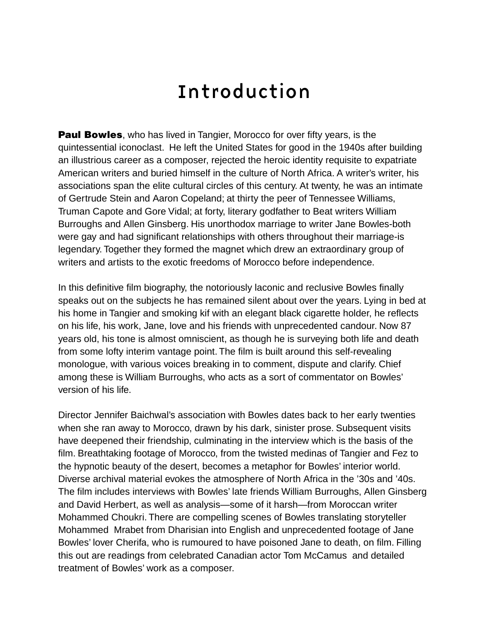## Introduction

**Paul Bowles**, who has lived in Tangier, Morocco for over fifty years, is the quintessential iconoclast. He left the United States for good in the 1940s after building an illustrious career as a composer, rejected the heroic identity requisite to expatriate American writers and buried himself in the culture of North Africa. A writer's writer, his associations span the elite cultural circles of this century. At twenty, he was an intimate of Gertrude Stein and Aaron Copeland; at thirty the peer of Tennessee Williams, Truman Capote and Gore Vidal; at forty, literary godfather to Beat writers William Burroughs and Allen Ginsberg. His unorthodox marriage to writer Jane Bowles-both were gay and had significant relationships with others throughout their marriage-is legendary. Together they formed the magnet which drew an extraordinary group of writers and artists to the exotic freedoms of Morocco before independence.

In this definitive film biography, the notoriously laconic and reclusive Bowles finally speaks out on the subjects he has remained silent about over the years. Lying in bed at his home in Tangier and smoking kif with an elegant black cigarette holder, he reflects on his life, his work, Jane, love and his friends with unprecedented candour. Now 87 years old, his tone is almost omniscient, as though he is surveying both life and death from some lofty interim vantage point. The film is built around this self-revealing monologue, with various voices breaking in to comment, dispute and clarify. Chief among these is William Burroughs, who acts as a sort of commentator on Bowles' version of his life.

Director Jennifer Baichwal's association with Bowles dates back to her early twenties when she ran away to Morocco, drawn by his dark, sinister prose. Subsequent visits have deepened their friendship, culminating in the interview which is the basis of the film. Breathtaking footage of Morocco, from the twisted medinas of Tangier and Fez to the hypnotic beauty of the desert, becomes a metaphor for Bowles' interior world. Diverse archival material evokes the atmosphere of North Africa in the '30s and '40s. The film includes interviews with Bowles' late friends William Burroughs, Allen Ginsberg and David Herbert, as well as analysis—some of it harsh—from Moroccan writer Mohammed Choukri. There are compelling scenes of Bowles translating storyteller Mohammed Mrabet from Dharisian into English and unprecedented footage of Jane Bowles' lover Cherifa, who is rumoured to have poisoned Jane to death, on film. Filling this out are readings from celebrated Canadian actor Tom McCamus and detailed treatment of Bowles' work as a composer.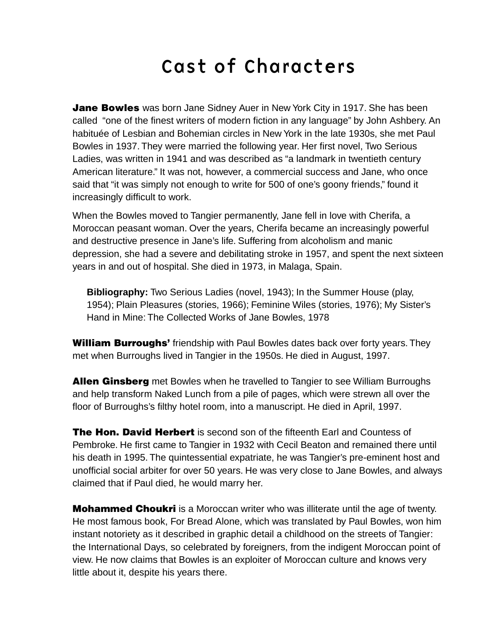# Cast of Characters

**Jane Bowles** was born Jane Sidney Auer in New York City in 1917. She has been called "one of the finest writers of modern fiction in any language" by John Ashbery. An habituée of Lesbian and Bohemian circles in New York in the late 1930s, she met Paul Bowles in 1937. They were married the following year. Her first novel, Two Serious Ladies, was written in 1941 and was described as "a landmark in twentieth century American literature." It was not, however, a commercial success and Jane, who once said that "it was simply not enough to write for 500 of one's goony friends," found it increasingly difficult to work.

When the Bowles moved to Tangier permanently, Jane fell in love with Cherifa, a Moroccan peasant woman. Over the years, Cherifa became an increasingly powerful and destructive presence in Jane's life. Suffering from alcoholism and manic depression, she had a severe and debilitating stroke in 1957, and spent the next sixteen years in and out of hospital. She died in 1973, in Malaga, Spain.

**Bibliography:** Two Serious Ladies (novel, 1943); In the Summer House (play, 1954); Plain Pleasures (stories, 1966); Feminine Wiles (stories, 1976); My Sister's Hand in Mine: The Collected Works of Jane Bowles, 1978

**William Burroughs'** friendship with Paul Bowles dates back over forty years. They met when Burroughs lived in Tangier in the 1950s. He died in August, 1997.

**Allen Ginsberg** met Bowles when he travelled to Tangier to see William Burroughs and help transform Naked Lunch from a pile of pages, which were strewn all over the floor of Burroughs's filthy hotel room, into a manuscript. He died in April, 1997.

**The Hon. David Herbert** is second son of the fifteenth Earl and Countess of Pembroke. He first came to Tangier in 1932 with Cecil Beaton and remained there until his death in 1995. The quintessential expatriate, he was Tangier's pre-eminent host and unofficial social arbiter for over 50 years. He was very close to Jane Bowles, and always claimed that if Paul died, he would marry her.

**Mohammed Choukri** is a Moroccan writer who was illiterate until the age of twenty. He most famous book, For Bread Alone, which was translated by Paul Bowles, won him instant notoriety as it described in graphic detail a childhood on the streets of Tangier: the International Days, so celebrated by foreigners, from the indigent Moroccan point of view. He now claims that Bowles is an exploiter of Moroccan culture and knows very little about it, despite his years there.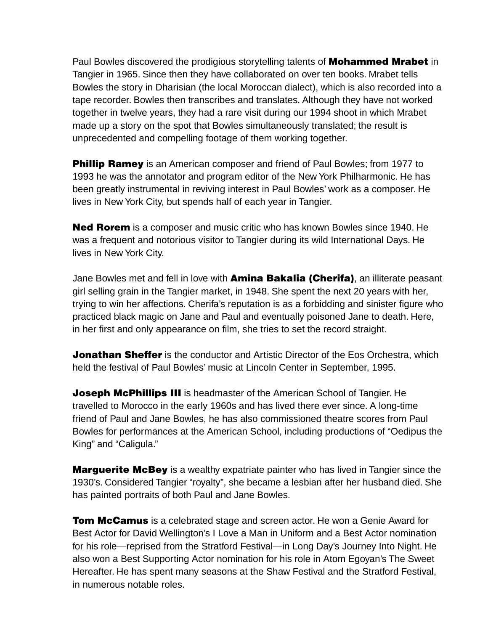Paul Bowles discovered the prodigious storytelling talents of **Mohammed Mrabet** in Tangier in 1965. Since then they have collaborated on over ten books. Mrabet tells Bowles the story in Dharisian (the local Moroccan dialect), which is also recorded into a tape recorder. Bowles then transcribes and translates. Although they have not worked together in twelve years, they had a rare visit during our 1994 shoot in which Mrabet made up a story on the spot that Bowles simultaneously translated; the result is unprecedented and compelling footage of them working together.

**Phillip Ramey** is an American composer and friend of Paul Bowles; from 1977 to 1993 he was the annotator and program editor of the New York Philharmonic. He has been greatly instrumental in reviving interest in Paul Bowles' work as a composer. He lives in New York City, but spends half of each year in Tangier.

**Ned Rorem** is a composer and music critic who has known Bowles since 1940. He was a frequent and notorious visitor to Tangier during its wild International Days. He lives in New York City.

Jane Bowles met and fell in love with **Amina Bakalia (Cherifa)**, an illiterate peasant girl selling grain in the Tangier market, in 1948. She spent the next 20 years with her, trying to win her affections. Cherifa's reputation is as a forbidding and sinister figure who practiced black magic on Jane and Paul and eventually poisoned Jane to death. Here, in her first and only appearance on film, she tries to set the record straight.

**Jonathan Sheffer** is the conductor and Artistic Director of the Eos Orchestra, which held the festival of Paul Bowles' music at Lincoln Center in September, 1995.

**Joseph McPhillips III** is headmaster of the American School of Tangier. He travelled to Morocco in the early 1960s and has lived there ever since. A long-time friend of Paul and Jane Bowles, he has also commissioned theatre scores from Paul Bowles for performances at the American School, including productions of "Oedipus the King" and "Caligula."

**Marguerite McBey** is a wealthy expatriate painter who has lived in Tangier since the 1930's. Considered Tangier "royalty", she became a lesbian after her husband died. She has painted portraits of both Paul and Jane Bowles.

**Tom McCamus** is a celebrated stage and screen actor. He won a Genie Award for Best Actor for David Wellington's I Love a Man in Uniform and a Best Actor nomination for his role—reprised from the Stratford Festival—in Long Day's Journey Into Night. He also won a Best Supporting Actor nomination for his role in Atom Egoyan's The Sweet Hereafter. He has spent many seasons at the Shaw Festival and the Stratford Festival, in numerous notable roles.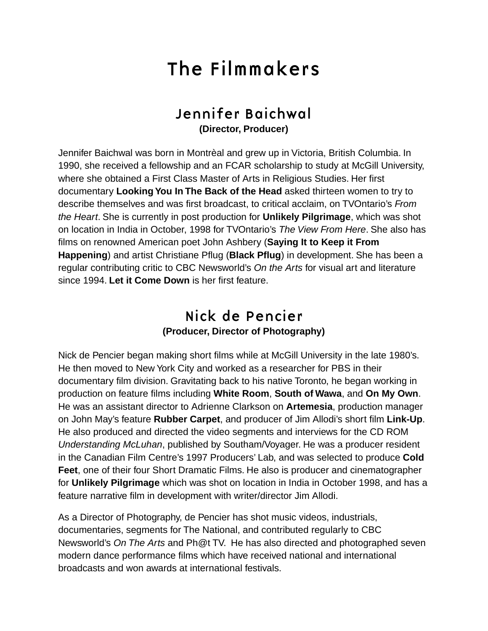# The Filmmakers

### Jennifer Baichwal **(Director, Producer)**

Jennifer Baichwal was born in Montrèal and grew up in Victoria, British Columbia. In 1990, she received a fellowship and an FCAR scholarship to study at McGill University, where she obtained a First Class Master of Arts in Religious Studies. Her first documentary **Looking You In The Back of the Head** asked thirteen women to try to describe themselves and was first broadcast, to critical acclaim, on TVOntario's From the Heart. She is currently in post production for **Unlikely Pilgrimage**, which was shot on location in India in October, 1998 for TVOntario's The View From Here. She also has films on renowned American poet John Ashbery (**Saying It to Keep it From Happening**) and artist Christiane Pflug (**Black Pflug**) in development. She has been a regular contributing critic to CBC Newsworld's On the Arts for visual art and literature since 1994. **Let it Come Down** is her first feature.

### Nick de Pencier **(Producer, Director of Photography)**

Nick de Pencier began making short films while at McGill University in the late 1980's. He then moved to New York City and worked as a researcher for PBS in their documentary film division. Gravitating back to his native Toronto, he began working in production on feature films including **White Room**, **South of Wawa**, and **On My Own**. He was an assistant director to Adrienne Clarkson on **Artemesia**, production manager on John May's feature **Rubber Carpet**, and producer of Jim Allodi's short film **Link-Up**. He also produced and directed the video segments and interviews for the CD ROM Understanding McLuhan, published by Southam/Voyager. He was a producer resident in the Canadian Film Centre's 1997 Producers' Lab, and was selected to produce **Cold Feet**, one of their four Short Dramatic Films. He also is producer and cinematographer for **Unlikely Pilgrimage** which was shot on location in India in October 1998, and has a feature narrative film in development with writer/director Jim Allodi.

As a Director of Photography, de Pencier has shot music videos, industrials, documentaries, segments for The National, and contributed regularly to CBC Newsworld's On The Arts and Ph@t TV. He has also directed and photographed seven modern dance performance films which have received national and international broadcasts and won awards at international festivals.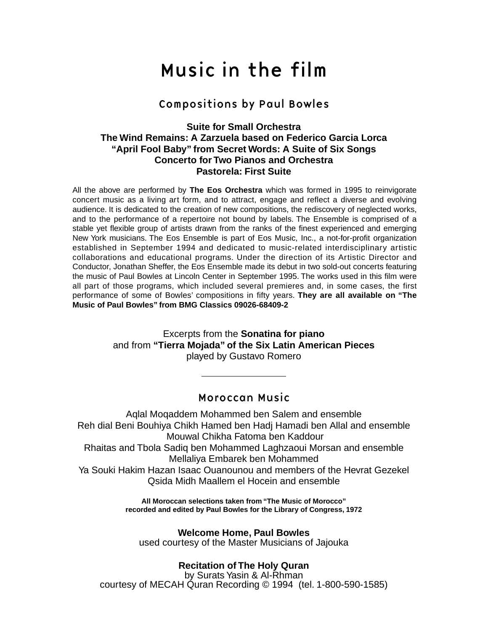# Music in the film

### Compositions by Paul Bowles

### **Suite for Small Orchestra The Wind Remains: A Zarzuela based on Federico Garcia Lorca "April Fool Baby" from Secret Words: A Suite of Six Songs Concerto for Two Pianos and Orchestra Pastorela: First Suite**

All the above are performed by **The Eos Orchestra** which was formed in 1995 to reinvigorate concert music as a living art form, and to attract, engage and reflect a diverse and evolving audience. It is dedicated to the creation of new compositions, the rediscovery of neglected works, and to the performance of a repertoire not bound by labels. The Ensemble is comprised of a stable yet flexible group of artists drawn from the ranks of the finest experienced and emerging New York musicians. The Eos Ensemble is part of Eos Music, Inc., a not-for-profit organization established in September 1994 and dedicated to music-related interdisciplinary artistic collaborations and educational programs. Under the direction of its Artistic Director and Conductor, Jonathan Sheffer, the Eos Ensemble made its debut in two sold-out concerts featuring the music of Paul Bowles at Lincoln Center in September 1995. The works used in this film were all part of those programs, which included several premieres and, in some cases, the first performance of some of Bowles' compositions in fifty years. **They are all available on "The Music of Paul Bowles" from BMG Classics 09026-68409-2**

> Excerpts from the **Sonatina for piano** and from **"Tierra Mojada" of the Six Latin American Pieces** played by Gustavo Romero

### Moroccan Music

Aqlal Moqaddem Mohammed ben Salem and ensemble Reh dial Beni Bouhiya Chikh Hamed ben Hadj Hamadi ben Allal and ensemble Mouwal Chikha Fatoma ben Kaddour Rhaitas and Tbola Sadiq ben Mohammed Laghzaoui Morsan and ensemble Mellaliya Embarek ben Mohammed Ya Souki Hakim Hazan Isaac Ouanounou and members of the Hevrat Gezekel Qsida Midh Maallem el Hocein and ensemble

> **All Moroccan selections taken from "The Music of Morocco" recorded and edited by Paul Bowles for the Library of Congress, 1972**

**Welcome Home, Paul Bowles** used courtesy of the Master Musicians of Jajouka

### **Recitation of The Holy Quran**

by Surats Yasin & Al-Rhman courtesy of MECAH Quran Recording © 1994 (tel. 1-800-590-1585)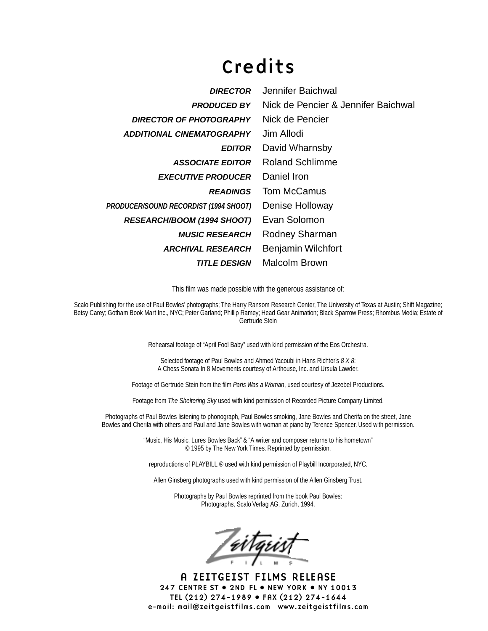### Credits

| <b>DIRECTOR</b>                              | Jennifer Baichwal                   |
|----------------------------------------------|-------------------------------------|
| <b>PRODUCED BY</b>                           | Nick de Pencier & Jennifer Baichwal |
| <b>DIRECTOR OF PHOTOGRAPHY</b>               | Nick de Pencier                     |
| <b>ADDITIONAL CINEMATOGRAPHY</b>             | Jim Allodi.                         |
| <b>EDITOR</b>                                | David Wharnsby                      |
| <b>ASSOCIATE EDITOR</b>                      | <b>Roland Schlimme</b>              |
| <b>EXECUTIVE PRODUCER</b>                    | Daniel Iron                         |
| <b>READINGS</b>                              | Tom McCamus                         |
| <b>PRODUCER/SOUND RECORDIST (1994 SHOOT)</b> | Denise Holloway                     |
| RESEARCH/BOOM (1994 SHOOT)                   | Evan Solomon                        |
| <b>MUSIC RESEARCH</b>                        | Rodney Sharman                      |
| <b>ARCHIVAL RESEARCH</b>                     | <b>Benjamin Wilchfort</b>           |
| <i><b>TITLE DESIGN</b></i>                   | Malcolm Brown                       |

This film was made possible with the generous assistance of:

Scalo Publishing for the use of Paul Bowles' photographs; The Harry Ransom Research Center, The University of Texas at Austin; Shift Magazine; Betsy Carey; Gotham Book Mart Inc., NYC; Peter Garland; Phillip Ramey; Head Gear Animation; Black Sparrow Press; Rhombus Media; Estate of Gertrude Stein

Rehearsal footage of "April Fool Baby" used with kind permission of the Eos Orchestra.

Selected footage of Paul Bowles and Ahmed Yacoubi in Hans Richter's 8 X 8: A Chess Sonata In 8 Movements courtesy of Arthouse, Inc. and Ursula Lawder.

Footage of Gertrude Stein from the film Paris Was a Woman, used courtesy of Jezebel Productions.

Footage from The Sheltering Sky used with kind permission of Recorded Picture Company Limited.

Photographs of Paul Bowles listening to phonograph, Paul Bowles smoking, Jane Bowles and Cherifa on the street, Jane Bowles and Cherifa with others and Paul and Jane Bowles with woman at piano by Terence Spencer. Used with permission.

> "Music, His Music, Lures Bowles Back" & "A writer and composer returns to his hometown" © 1995 by The New York Times. Reprinted by permission.

reproductions of PLAYBILL ® used with kind permission of Playbill Incorporated, NYC.

Allen Ginsberg photographs used with kind permission of the Allen Ginsberg Trust.

Photographs by Paul Bowles reprinted from the book Paul Bowles: Photographs, Scalo Verlag AG, Zurich, 1994.

<u>eitgrist</u>

A ZEITGEIST FILMS RELEASE 247 CENTRE ST . 2ND FL . NEW YORK . NY 10013 TEL (212) 274-1989 • FAX (212) 274-1644 e-mail: mail@zeitgeistfilms.com www.zeitgeistfilms.com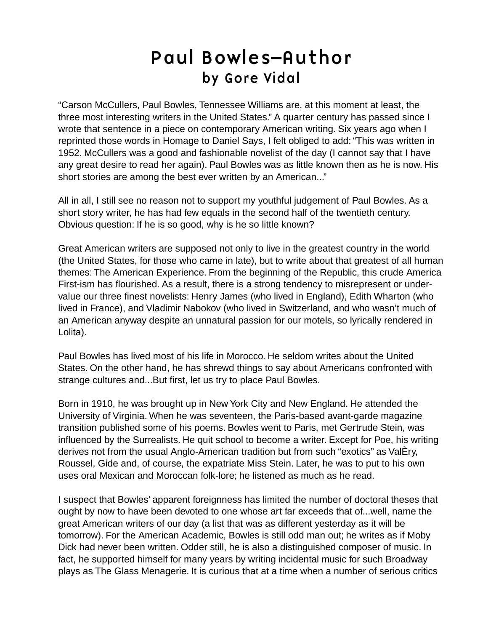### Paul Bowles–Author by Gore Vidal

"Carson McCullers, Paul Bowles, Tennessee Williams are, at this moment at least, the three most interesting writers in the United States." A quarter century has passed since I wrote that sentence in a piece on contemporary American writing. Six years ago when I reprinted those words in Homage to Daniel Says, I felt obliged to add: "This was written in 1952. McCullers was a good and fashionable novelist of the day (I cannot say that I have any great desire to read her again). Paul Bowles was as little known then as he is now. His short stories are among the best ever written by an American..."

All in all, I still see no reason not to support my youthful judgement of Paul Bowles. As a short story writer, he has had few equals in the second half of the twentieth century. Obvious question: If he is so good, why is he so little known?

Great American writers are supposed not only to live in the greatest country in the world (the United States, for those who came in late), but to write about that greatest of all human themes: The American Experience. From the beginning of the Republic, this crude America First-ism has flourished. As a result, there is a strong tendency to misrepresent or undervalue our three finest novelists: Henry James (who lived in England), Edith Wharton (who lived in France), and Vladimir Nabokov (who lived in Switzerland, and who wasn't much of an American anyway despite an unnatural passion for our motels, so lyrically rendered in Lolita).

Paul Bowles has lived most of his life in Morocco. He seldom writes about the United States. On the other hand, he has shrewd things to say about Americans confronted with strange cultures and...But first, let us try to place Paul Bowles.

Born in 1910, he was brought up in New York City and New England. He attended the University of Virginia. When he was seventeen, the Paris-based avant-garde magazine transition published some of his poems. Bowles went to Paris, met Gertrude Stein, was influenced by the Surrealists. He quit school to become a writer. Except for Poe, his writing derives not from the usual Anglo-American tradition but from such "exotics" as ValÈry, Roussel, Gide and, of course, the expatriate Miss Stein. Later, he was to put to his own uses oral Mexican and Moroccan folk-lore; he listened as much as he read.

I suspect that Bowles' apparent foreignness has limited the number of doctoral theses that ought by now to have been devoted to one whose art far exceeds that of...well, name the great American writers of our day (a list that was as different yesterday as it will be tomorrow). For the American Academic, Bowles is still odd man out; he writes as if Moby Dick had never been written. Odder still, he is also a distinguished composer of music. In fact, he supported himself for many years by writing incidental music for such Broadway plays as The Glass Menagerie. It is curious that at a time when a number of serious critics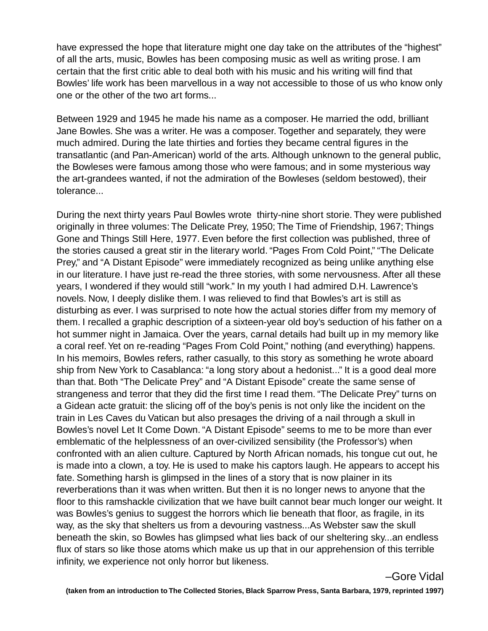have expressed the hope that literature might one day take on the attributes of the "highest" of all the arts, music, Bowles has been composing music as well as writing prose. I am certain that the first critic able to deal both with his music and his writing will find that Bowles' life work has been marvellous in a way not accessible to those of us who know only one or the other of the two art forms...

Between 1929 and 1945 he made his name as a composer. He married the odd, brilliant Jane Bowles. She was a writer. He was a composer. Together and separately, they were much admired. During the late thirties and forties they became central figures in the transatlantic (and Pan-American) world of the arts. Although unknown to the general public, the Bowleses were famous among those who were famous; and in some mysterious way the art-grandees wanted, if not the admiration of the Bowleses (seldom bestowed), their tolerance...

During the next thirty years Paul Bowles wrote thirty-nine short storie. They were published originally in three volumes: The Delicate Prey, 1950; The Time of Friendship, 1967; Things Gone and Things Still Here, 1977. Even before the first collection was published, three of the stories caused a great stir in the literary world. "Pages From Cold Point," "The Delicate Prey," and "A Distant Episode" were immediately recognized as being unlike anything else in our literature. I have just re-read the three stories, with some nervousness. After all these years, I wondered if they would still "work." In my youth I had admired D.H. Lawrence's novels. Now, I deeply dislike them. I was relieved to find that Bowles's art is still as disturbing as ever. I was surprised to note how the actual stories differ from my memory of them. I recalled a graphic description of a sixteen-year old boy's seduction of his father on a hot summer night in Jamaica. Over the years, carnal details had built up in my memory like a coral reef.Yet on re-reading "Pages From Cold Point," nothing (and everything) happens. In his memoirs, Bowles refers, rather casually, to this story as something he wrote aboard ship from New York to Casablanca: "a long story about a hedonist..." It is a good deal more than that. Both "The Delicate Prey" and "A Distant Episode" create the same sense of strangeness and terror that they did the first time I read them. "The Delicate Prey" turns on a Gidean acte gratuit: the slicing off of the boy's penis is not only like the incident on the train in Les Caves du Vatican but also presages the driving of a nail through a skull in Bowles's novel Let It Come Down. "A Distant Episode" seems to me to be more than ever emblematic of the helplessness of an over-civilized sensibility (the Professor's) when confronted with an alien culture. Captured by North African nomads, his tongue cut out, he is made into a clown, a toy. He is used to make his captors laugh. He appears to accept his fate. Something harsh is glimpsed in the lines of a story that is now plainer in its reverberations than it was when written. But then it is no longer news to anyone that the floor to this ramshackle civilization that we have built cannot bear much longer our weight. It was Bowles's genius to suggest the horrors which lie beneath that floor, as fragile, in its way, as the sky that shelters us from a devouring vastness...As Webster saw the skull beneath the skin, so Bowles has glimpsed what lies back of our sheltering sky...an endless flux of stars so like those atoms which make us up that in our apprehension of this terrible infinity, we experience not only horror but likeness.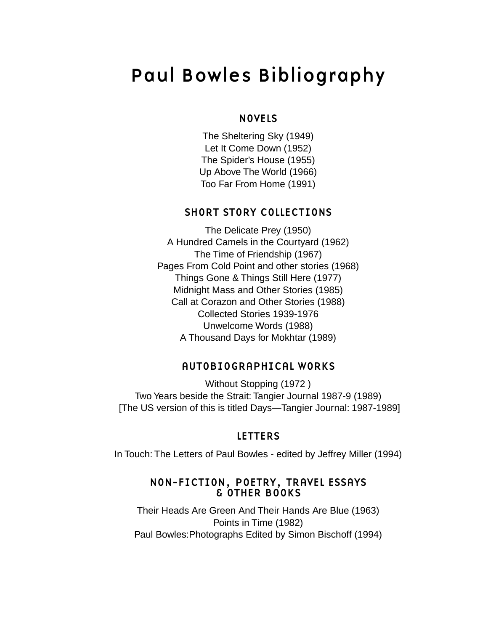### Paul Bowles Bibliography

### NOVELS

The Sheltering Sky (1949) Let It Come Down (1952) The Spider's House (1955) Up Above The World (1966) Too Far From Home (1991)

### SHORT STORY COLLECTIONS

The Delicate Prey (1950) A Hundred Camels in the Courtyard (1962) The Time of Friendship (1967) Pages From Cold Point and other stories (1968) Things Gone & Things Still Here (1977) Midnight Mass and Other Stories (1985) Call at Corazon and Other Stories (1988) Collected Stories 1939-1976 Unwelcome Words (1988) A Thousand Days for Mokhtar (1989)

#### AUTOBIOGRAPHICAL WORKS

Without Stopping (1972 ) Two Years beside the Strait: Tangier Journal 1987-9 (1989) [The US version of this is titled Days—Tangier Journal: 1987-1989]

### LETTERS

In Touch: The Letters of Paul Bowles - edited by Jeffrey Miller (1994)

### NON-FICTION, POETRY, TRAVEL ESSAYS & OTHER BOOKS

Their Heads Are Green And Their Hands Are Blue (1963) Points in Time (1982) Paul Bowles:Photographs Edited by Simon Bischoff (1994)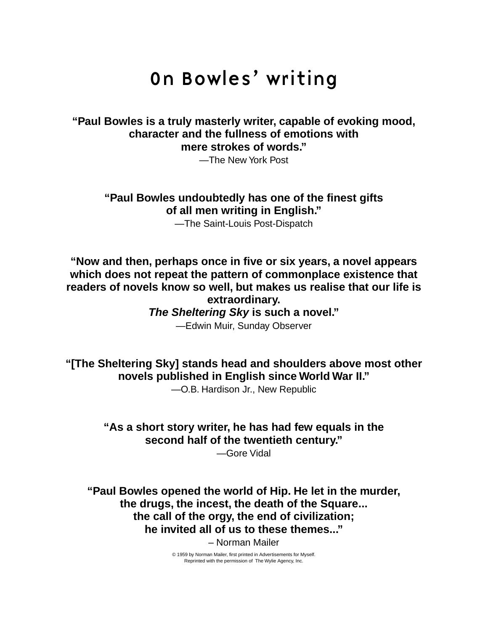## On Bowles' writing

**"Paul Bowles is a truly masterly writer, capable of evoking mood, character and the fullness of emotions with mere strokes of words."**

—The New York Post

### **"Paul Bowles undoubtedly has one of the finest gifts of all men writing in English."**

—The Saint-Louis Post-Dispatch

**"Now and then, perhaps once in five or six years, a novel appears which does not repeat the pattern of commonplace existence that readers of novels know so well, but makes us realise that our life is extraordinary.**

**The Sheltering Sky is such a novel."**

—Edwin Muir, Sunday Observer

**"[The Sheltering Sky] stands head and shoulders above most other novels published in English since World War II."**

—O.B. Hardison Jr., New Republic

**"As a short story writer, he has had few equals in the second half of the twentieth century."**

—Gore Vidal

**"Paul Bowles opened the world of Hip. He let in the murder, the drugs, the incest, the death of the Square... the call of the orgy, the end of civilization; he invited all of us to these themes..."**

– Norman Mailer

© 1959 by Norman Mailer, first printed in Advertisements for Myself. Reprinted with the permission of The Wylie Agency, Inc.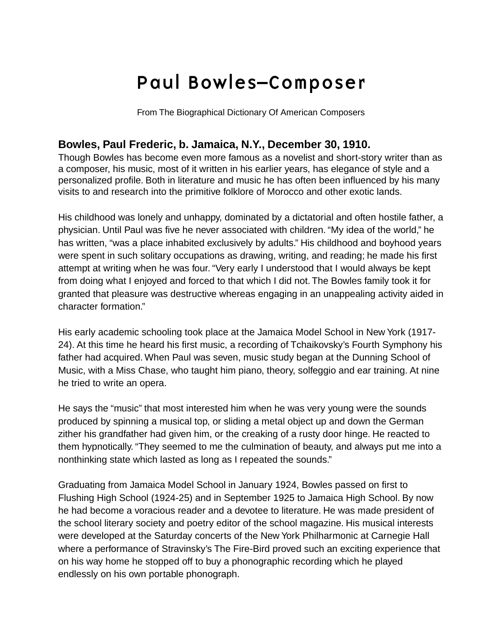# Paul Bowles–Composer

From The Biographical Dictionary Of American Composers

### **Bowles, Paul Frederic, b. Jamaica, N.Y., December 30, 1910.**

Though Bowles has become even more famous as a novelist and short-story writer than as a composer, his music, most of it written in his earlier years, has elegance of style and a personalized profile. Both in literature and music he has often been influenced by his many visits to and research into the primitive folklore of Morocco and other exotic lands.

His childhood was lonely and unhappy, dominated by a dictatorial and often hostile father, a physician. Until Paul was five he never associated with children. "My idea of the world," he has written, "was a place inhabited exclusively by adults." His childhood and boyhood years were spent in such solitary occupations as drawing, writing, and reading; he made his first attempt at writing when he was four. "Very early I understood that I would always be kept from doing what I enjoyed and forced to that which I did not. The Bowles family took it for granted that pleasure was destructive whereas engaging in an unappealing activity aided in character formation."

His early academic schooling took place at the Jamaica Model School in New York (1917- 24). At this time he heard his first music, a recording of Tchaikovsky's Fourth Symphony his father had acquired. When Paul was seven, music study began at the Dunning School of Music, with a Miss Chase, who taught him piano, theory, solfeggio and ear training. At nine he tried to write an opera.

He says the "music" that most interested him when he was very young were the sounds produced by spinning a musical top, or sliding a metal object up and down the German zither his grandfather had given him, or the creaking of a rusty door hinge. He reacted to them hypnotically. "They seemed to me the culmination of beauty, and always put me into a nonthinking state which lasted as long as I repeated the sounds."

Graduating from Jamaica Model School in January 1924, Bowles passed on first to Flushing High School (1924-25) and in September 1925 to Jamaica High School. By now he had become a voracious reader and a devotee to literature. He was made president of the school literary society and poetry editor of the school magazine. His musical interests were developed at the Saturday concerts of the New York Philharmonic at Carnegie Hall where a performance of Stravinsky's The Fire-Bird proved such an exciting experience that on his way home he stopped off to buy a phonographic recording which he played endlessly on his own portable phonograph.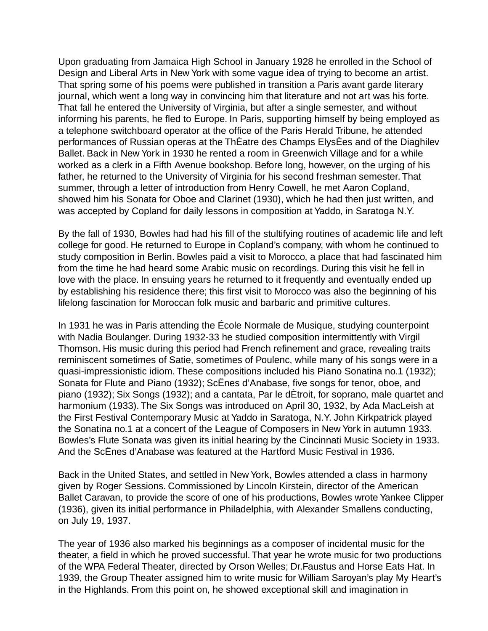Upon graduating from Jamaica High School in January 1928 he enrolled in the School of Design and Liberal Arts in New York with some vague idea of trying to become an artist. That spring some of his poems were published in transition a Paris avant garde literary journal, which went a long way in convincing him that literature and not art was his forte. That fall he entered the University of Virginia, but after a single semester, and without informing his parents, he fled to Europe. In Paris, supporting himself by being employed as a telephone switchboard operator at the office of the Paris Herald Tribune, he attended performances of Russian operas at the ThÈatre des Champs ElysÈes and of the Diaghilev Ballet. Back in New York in 1930 he rented a room in Greenwich Village and for a while worked as a clerk in a Fifth Avenue bookshop. Before long, however, on the urging of his father, he returned to the University of Virginia for his second freshman semester. That summer, through a letter of introduction from Henry Cowell, he met Aaron Copland, showed him his Sonata for Oboe and Clarinet (1930), which he had then just written, and was accepted by Copland for daily lessons in composition at Yaddo, in Saratoga N.Y.

By the fall of 1930, Bowles had had his fill of the stultifying routines of academic life and left college for good. He returned to Europe in Copland's company, with whom he continued to study composition in Berlin. Bowles paid a visit to Morocco, a place that had fascinated him from the time he had heard some Arabic music on recordings. During this visit he fell in love with the place. In ensuing years he returned to it frequently and eventually ended up by establishing his residence there; this first visit to Morocco was also the beginning of his lifelong fascination for Moroccan folk music and barbaric and primitive cultures.

In 1931 he was in Paris attending the École Normale de Musique, studying counterpoint with Nadia Boulanger. During 1932-33 he studied composition intermittently with Virgil Thomson. His music during this period had French refinement and grace, revealing traits reminiscent sometimes of Satie, sometimes of Poulenc, while many of his songs were in a quasi-impressionistic idiom. These compositions included his Piano Sonatina no.1 (1932); Sonata for Flute and Piano (1932); ScËnes d'Anabase, five songs for tenor, oboe, and piano (1932); Six Songs (1932); and a cantata, Par le dÈtroit, for soprano, male quartet and harmonium (1933). The Six Songs was introduced on April 30, 1932, by Ada MacLeish at the First Festival Contemporary Music at Yaddo in Saratoga, N.Y. John Kirkpatrick played the Sonatina no.1 at a concert of the League of Composers in New York in autumn 1933. Bowles's Flute Sonata was given its initial hearing by the Cincinnati Music Society in 1933. And the ScËnes d'Anabase was featured at the Hartford Music Festival in 1936.

Back in the United States, and settled in New York, Bowles attended a class in harmony given by Roger Sessions. Commissioned by Lincoln Kirstein, director of the American Ballet Caravan, to provide the score of one of his productions, Bowles wrote Yankee Clipper (1936), given its initial performance in Philadelphia, with Alexander Smallens conducting, on July 19, 1937.

The year of 1936 also marked his beginnings as a composer of incidental music for the theater, a field in which he proved successful. That year he wrote music for two productions of the WPA Federal Theater, directed by Orson Welles; Dr.Faustus and Horse Eats Hat. In 1939, the Group Theater assigned him to write music for William Saroyan's play My Heart's in the Highlands. From this point on, he showed exceptional skill and imagination in